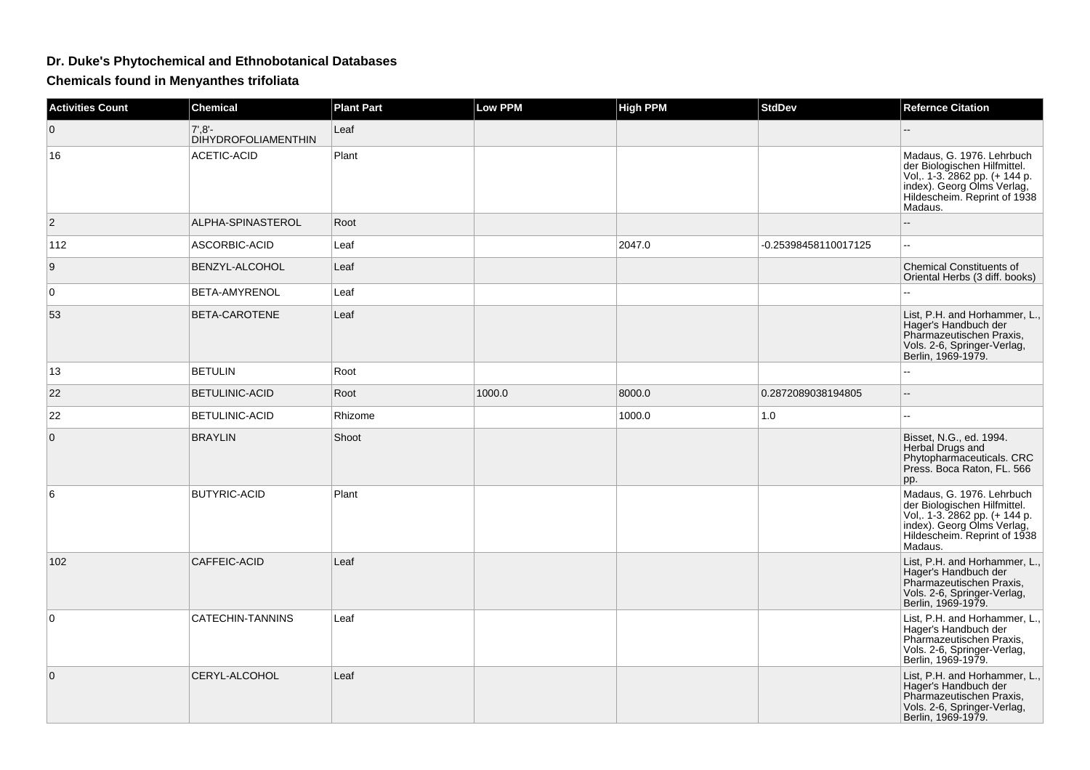## **Dr. Duke's Phytochemical and Ethnobotanical Databases**

**Chemicals found in Menyanthes trifoliata**

| <b>Activities Count</b> | <b>Chemical</b>                                             | <b>Plant Part</b> | <b>Low PPM</b> | <b>High PPM</b> | <b>StdDev</b>        | <b>Refernce Citation</b>                                                                                                                                             |
|-------------------------|-------------------------------------------------------------|-------------------|----------------|-----------------|----------------------|----------------------------------------------------------------------------------------------------------------------------------------------------------------------|
| $\mathbf{0}$            | $7^{\prime}$ , $8^{\prime}$ -<br><b>DIHYDROFOLIAMENTHIN</b> | Leaf              |                |                 |                      |                                                                                                                                                                      |
| 16                      | <b>ACETIC-ACID</b>                                          | Plant             |                |                 |                      | Madaus, G. 1976. Lehrbuch<br>der Biologischen Hilfmittel.<br>Vol., 1-3. 2862 pp. (+ 144 p.)<br>index). Georg Olms Verlag,<br>Hildescheim. Reprint of 1938<br>Madaus. |
| 2                       | ALPHA-SPINASTEROL                                           | Root              |                |                 |                      |                                                                                                                                                                      |
| 112                     | ASCORBIC-ACID                                               | Leaf              |                | 2047.0          | -0.25398458110017125 | $\sim$                                                                                                                                                               |
| 9                       | BENZYL-ALCOHOL                                              | Leaf              |                |                 |                      | <b>Chemical Constituents of</b><br>Oriental Herbs (3 diff. books)                                                                                                    |
| 0                       | BETA-AMYRENOL                                               | Leaf              |                |                 |                      |                                                                                                                                                                      |
| 53                      | BETA-CAROTENE                                               | Leaf              |                |                 |                      | List, P.H. and Horhammer, L.,<br>Hager's Handbuch der<br>Pharmazeutischen Praxis,<br>Vols. 2-6, Springer-Verlag,<br>Berlin, 1969-1979.                               |
| 13                      | <b>BETULIN</b>                                              | Root              |                |                 |                      |                                                                                                                                                                      |
| 22                      | <b>BETULINIC-ACID</b>                                       | Root              | 1000.0         | 8000.0          | 0.2872089038194805   | $-$                                                                                                                                                                  |
| 22                      | <b>BETULINIC-ACID</b>                                       | Rhizome           |                | 1000.0          | 1.0                  | $\overline{a}$                                                                                                                                                       |
| 0                       | <b>BRAYLIN</b>                                              | Shoot             |                |                 |                      | Bisset, N.G., ed. 1994.<br>Herbal Drugs and<br>Phytopharmaceuticals. CRC<br>Press. Boca Raton, FL. 566<br>pp.                                                        |
| 6                       | <b>BUTYRIC-ACID</b>                                         | Plant             |                |                 |                      | Madaus, G. 1976. Lehrbuch<br>der Biologischen Hilfmittel.<br>Vol., 1-3. 2862 pp. (+ 144 p.<br>index). Georg Olms Verlag,<br>Hildescheim. Reprint of 1938<br>Madaus.  |
| 102                     | CAFFEIC-ACID                                                | Leaf              |                |                 |                      | List, P.H. and Horhammer, L.,<br>Hager's Handbuch der<br>Pharmazeutischen Praxis,<br>Vols. 2-6, Springer-Verlag,<br>Berlin, 1969-1979.                               |
| 0                       | CATECHIN-TANNINS                                            | Leaf              |                |                 |                      | List, P.H. and Horhammer, L.,<br>Hager's Handbuch der<br>Pharmazeutischen Praxis,<br>Vols. 2-6, Springer-Verlag,<br>Berlin, 1969-1979.                               |
| $\Omega$                | CERYL-ALCOHOL                                               | Leaf              |                |                 |                      | List, P.H. and Horhammer, L.,<br>Hager's Handbuch der<br>Pharmazeutischen Praxis,<br>Vols. 2-6, Springer-Verlag,<br>Berlin, 1969-1979.                               |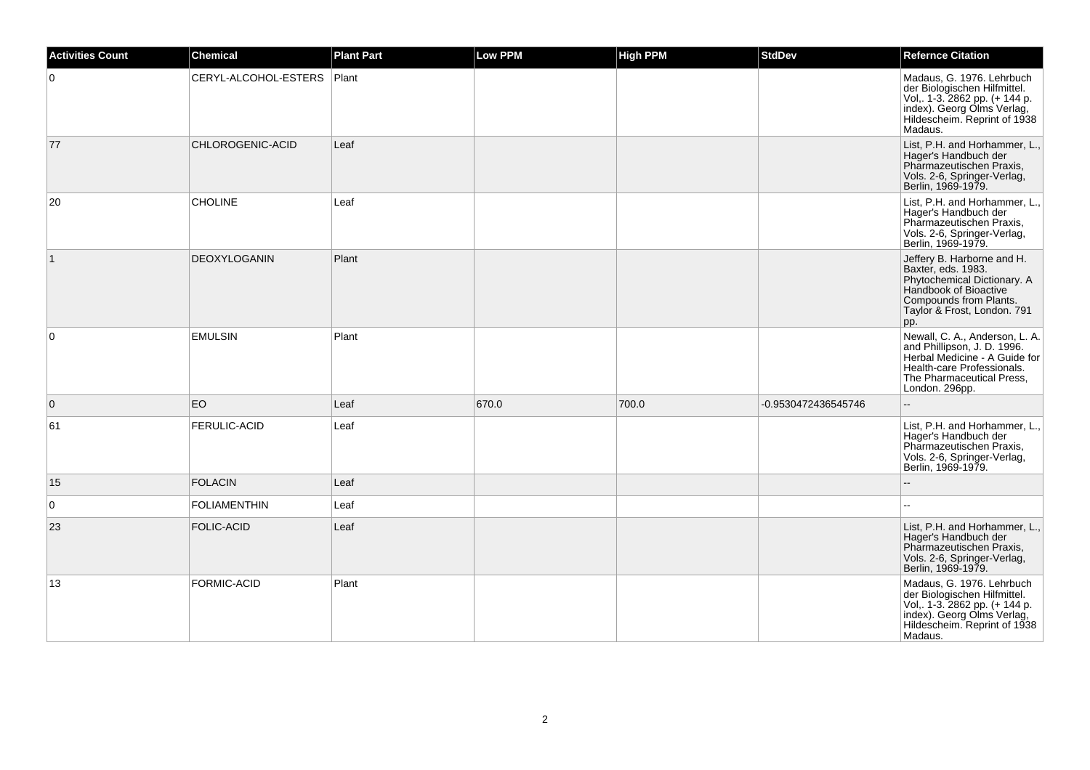| <b>Activities Count</b> | Chemical                     | Plant Part | <b>Low PPM</b> | <b>High PPM</b> | <b>StdDev</b>       | <b>Refernce Citation</b>                                                                                                                                                    |
|-------------------------|------------------------------|------------|----------------|-----------------|---------------------|-----------------------------------------------------------------------------------------------------------------------------------------------------------------------------|
| $\overline{0}$          | CERYL-ALCOHOL-ESTERS   Plant |            |                |                 |                     | Madaus, G. 1976. Lehrbuch<br>der Biologischen Hilfmittel.<br>Vol, 1-3. 2862 pp. (+ 144 p.<br>index). Georg Olms Verlag,<br>Hildescheim. Reprint of 1938<br>Madaus.          |
| 77                      | CHLOROGENIC-ACID             | Leaf       |                |                 |                     | List, P.H. and Horhammer, L.,<br>Hager's Handbuch der<br>Pharmazeutischen Praxis,<br>Vols. 2-6, Springer-Verlag,<br>Berlin, 1969-1979.                                      |
| 20                      | <b>CHOLINE</b>               | Leaf       |                |                 |                     | List, P.H. and Horhammer, L.,<br>Hager's Handbuch der<br>Pharmazeutischen Praxis,<br>Vols. 2-6, Springer-Verlag,<br>Berlin, 1969-1979.                                      |
| $\vert$ 1               | DEOXYLOGANIN                 | Plant      |                |                 |                     | Jeffery B. Harborne and H.<br>Baxter, eds. 1983.<br>Phytochemical Dictionary. A<br>Handbook of Bioactive<br>Compounds from Plants.<br>Taylor & Frost, London. 791<br>pp.    |
| $\overline{0}$          | <b>EMULSIN</b>               | Plant      |                |                 |                     | Newall, C. A., Anderson, L. A.<br>and Phillipson, J. D. 1996.<br>Herbal Medicine - A Guide for<br>Health-care Professionals.<br>The Pharmaceutical Press,<br>London. 296pp. |
| $\overline{0}$          | EO.                          | Leaf       | 670.0          | 700.0           | -0.9530472436545746 | $\overline{a}$                                                                                                                                                              |
| 61                      | <b>FERULIC-ACID</b>          | Leaf       |                |                 |                     | List, P.H. and Horhammer, L.,<br>Hager's Handbuch der<br>Pharmazeutischen Praxis,<br>Vols. 2-6, Springer-Verlag,<br>Berlin, 1969-1979.                                      |
| 15                      | <b>FOLACIN</b>               | Leaf       |                |                 |                     |                                                                                                                                                                             |
| $\overline{0}$          | <b>FOLIAMENTHIN</b>          | Leaf       |                |                 |                     |                                                                                                                                                                             |
| 23                      | <b>FOLIC-ACID</b>            | Leaf       |                |                 |                     | List, P.H. and Horhammer, L.,<br>Hager's Handbuch der<br>Pharmazeutischen Praxis,<br>Vols. 2-6, Springer-Verlag,<br>Berlin, 1969-1979.                                      |
| 13                      | <b>FORMIC-ACID</b>           | Plant      |                |                 |                     | Madaus, G. 1976. Lehrbuch<br>der Biologischen Hilfmittel.<br>Vol., 1-3. 2862 pp. (+ 144 p.<br>index). Georg Olms Verlag,<br>Hildescheim. Reprint of 1938<br>Madaus.         |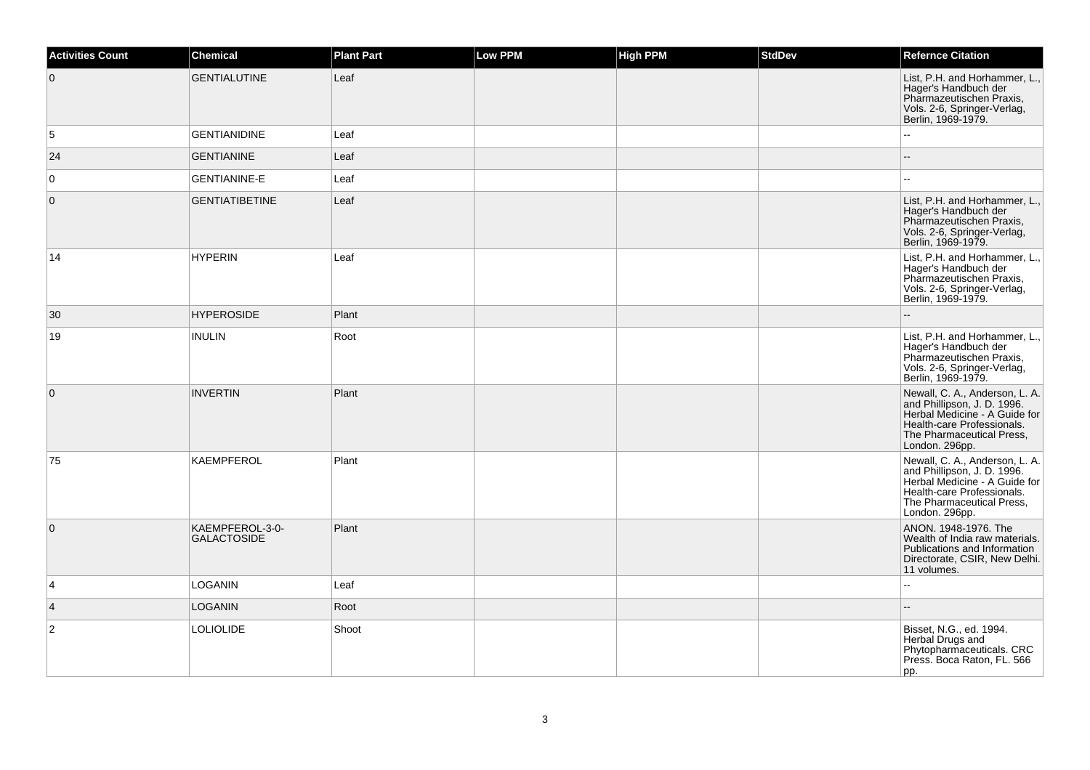| <b>Activities Count</b> | <b>Chemical</b>                       | <b>Plant Part</b> | Low PPM | <b>High PPM</b> | <b>StdDev</b> | <b>Refernce Citation</b>                                                                                                                                                    |
|-------------------------|---------------------------------------|-------------------|---------|-----------------|---------------|-----------------------------------------------------------------------------------------------------------------------------------------------------------------------------|
| $\overline{0}$          | <b>GENTIALUTINE</b>                   | Leaf              |         |                 |               | List, P.H. and Horhammer, L.,<br>Hager's Handbuch der<br>Pharmazeutischen Praxis,<br>Vols. 2-6, Springer-Verlag,<br>Berlin, 1969-1979.                                      |
| 5                       | <b>GENTIANIDINE</b>                   | Leaf              |         |                 |               |                                                                                                                                                                             |
| 24                      | <b>GENTIANINE</b>                     | Leaf              |         |                 |               |                                                                                                                                                                             |
| 0                       | <b>GENTIANINE-E</b>                   | Leaf              |         |                 |               |                                                                                                                                                                             |
| $\mathbf 0$             | <b>GENTIATIBETINE</b>                 | Leaf              |         |                 |               | List, P.H. and Horhammer, L.,<br>Hager's Handbuch der<br>Pharmazeutischen Praxis,<br>Vols. 2-6, Springer-Verlag,<br>Berlin, 1969-1979.                                      |
| 14                      | <b>HYPERIN</b>                        | Leaf              |         |                 |               | List, P.H. and Horhammer, L.<br>Hager's Handbuch der<br>Pharmazeutischen Praxis,<br>Vols. 2-6, Springer-Verlag,<br>Berlin, 1969-1979.                                       |
| 30                      | <b>HYPEROSIDE</b>                     | Plant             |         |                 |               | --                                                                                                                                                                          |
| 19                      | <b>INULIN</b>                         | Root              |         |                 |               | List, P.H. and Horhammer, L.,<br>Hager's Handbuch der<br>Pharmazeutischen Praxis,<br>Vols. 2-6, Springer-Verlag,<br>Berlin, 1969-1979.                                      |
| $\overline{0}$          | <b>INVERTIN</b>                       | Plant             |         |                 |               | Newall, C. A., Anderson, L. A.<br>and Phillipson, J. D. 1996.<br>Herbal Medicine - A Guide for<br>Health-care Professionals.<br>The Pharmaceutical Press,<br>London. 296pp. |
| 75                      | KAEMPFEROL                            | Plant             |         |                 |               | Newall, C. A., Anderson, L. A.<br>and Phillipson, J. D. 1996.<br>Herbal Medicine - A Guide for<br>Health-care Professionals.<br>The Pharmaceutical Press,<br>London. 296pp. |
| $\overline{0}$          | KAEMPFEROL-3-0-<br><b>GALACTOSIDE</b> | Plant             |         |                 |               | ANON. 1948-1976. The<br>Wealth of India raw materials.<br>Publications and Information<br>Directorate, CSIR, New Delhi.<br>11 volumes.                                      |
| $\overline{4}$          | <b>LOGANIN</b>                        | Leaf              |         |                 |               | L.                                                                                                                                                                          |
| $\overline{4}$          | <b>LOGANIN</b>                        | Root              |         |                 |               |                                                                                                                                                                             |
| 2                       | <b>LOLIOLIDE</b>                      | Shoot             |         |                 |               | Bisset, N.G., ed. 1994.<br>Herbal Drugs and<br>Phytopharmaceuticals. CRC<br>Press. Boca Raton, FL. 566<br>pp.                                                               |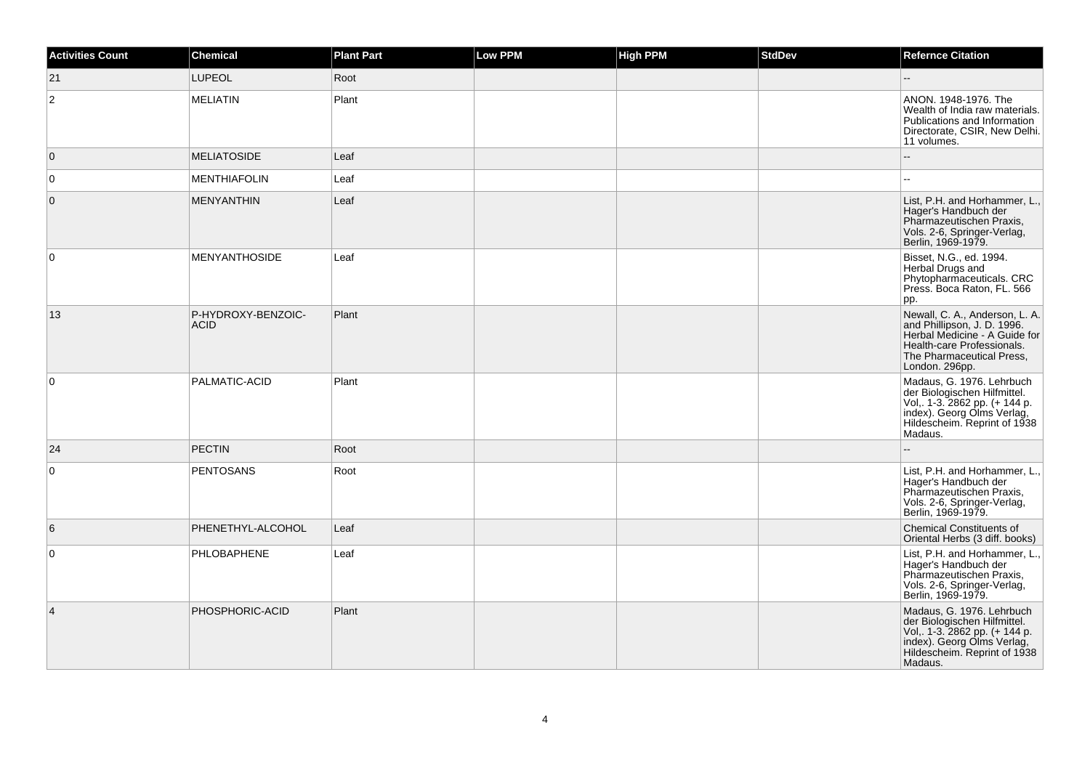| <b>Activities Count</b> | Chemical                          | <b>Plant Part</b> | <b>Low PPM</b> | <b>High PPM</b> | <b>StdDev</b> | <b>Refernce Citation</b>                                                                                                                                                    |
|-------------------------|-----------------------------------|-------------------|----------------|-----------------|---------------|-----------------------------------------------------------------------------------------------------------------------------------------------------------------------------|
| 21                      | <b>LUPEOL</b>                     | Root              |                |                 |               | $\overline{\phantom{a}}$                                                                                                                                                    |
| 2                       | <b>MELIATIN</b>                   | Plant             |                |                 |               | ANON. 1948-1976. The<br>Wealth of India raw materials.<br>Publications and Information<br>Directorate, CSIR, New Delhi.<br>11 volumes.                                      |
| $\mathbf 0$             | <b>MELIATOSIDE</b>                | Leaf              |                |                 |               |                                                                                                                                                                             |
| 0                       | <b>MENTHIAFOLIN</b>               | Leaf              |                |                 |               | $\overline{a}$                                                                                                                                                              |
| $\mathbf{0}$            | <b>MENYANTHIN</b>                 | Leaf              |                |                 |               | List, P.H. and Horhammer, L.,<br>Hager's Handbuch der<br>Pharmazeutischen Praxis,<br>Vols. 2-6, Springer-Verlag,<br>Berlin, 1969-1979.                                      |
| $\mathbf 0$             | <b>MENYANTHOSIDE</b>              | Leaf              |                |                 |               | Bisset, N.G., ed. 1994.<br>Herbal Drugs and<br>Phytopharmaceuticals. CRC<br>Press. Boca Raton, FL. 566<br>pp.                                                               |
| 13                      | P-HYDROXY-BENZOIC-<br><b>ACID</b> | Plant             |                |                 |               | Newall, C. A., Anderson, L. A.<br>and Phillipson, J. D. 1996.<br>Herbal Medicine - A Guide for<br>Health-care Professionals.<br>The Pharmaceutical Press,<br>London. 296pp. |
| $\mathbf 0$             | PALMATIC-ACID                     | Plant             |                |                 |               | Madaus, G. 1976. Lehrbuch<br>der Biologischen Hilfmittel.<br>Vol,. 1-3. 2862 pp. (+ 144 p.<br>index). Georg Olms Verlag,<br>Hildescheim. Reprint of 1938<br>Madaus.         |
| 24                      | <b>PECTIN</b>                     | Root              |                |                 |               | ۵.                                                                                                                                                                          |
| 0                       | <b>PENTOSANS</b>                  | Root              |                |                 |               | List, P.H. and Horhammer, L.,<br>Hager's Handbuch der<br>Pharmazeutischen Praxis,<br>Vols. 2-6, Springer-Verlag,<br>Berlin, 1969-1979.                                      |
| 6                       | PHENETHYL-ALCOHOL                 | Leaf              |                |                 |               | <b>Chemical Constituents of</b><br>Oriental Herbs (3 diff. books)                                                                                                           |
| $\mathbf 0$             | PHLOBAPHENE                       | Leaf              |                |                 |               | List, P.H. and Horhammer, L.,<br>Hager's Handbuch der<br>Pharmazeutischen Praxis,<br>Vols. 2-6, Springer-Verlag,<br>Berlin, 1969-1979.                                      |
| $\overline{4}$          | PHOSPHORIC-ACID                   | Plant             |                |                 |               | Madaus, G. 1976. Lehrbuch<br>der Biologischen Hilfmittel.<br>Vol., 1-3, 2862 pp. (+ 144 p.<br>  index). Georg Olms Verlag,<br>Hildescheim. Reprint of 1938<br>Madaus.       |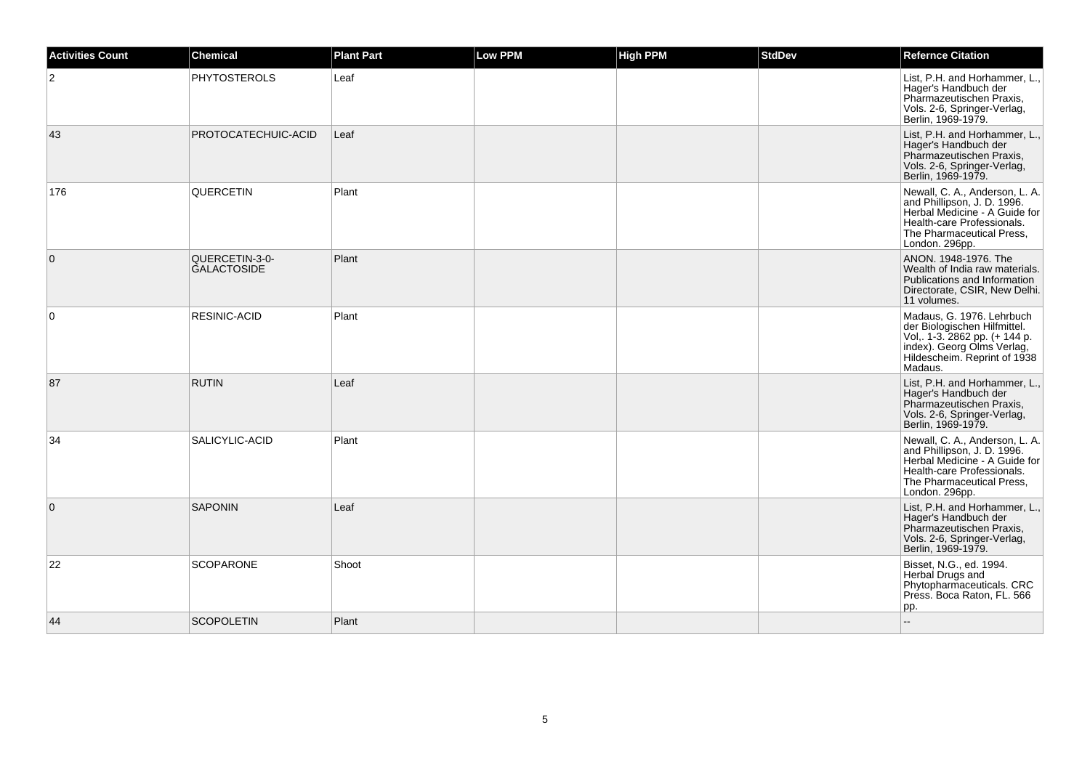| <b>Activities Count</b> | <b>Chemical</b>                      | <b>Plant Part</b> | <b>Low PPM</b> | <b>High PPM</b> | <b>StdDev</b> | <b>Refernce Citation</b>                                                                                                                                                    |
|-------------------------|--------------------------------------|-------------------|----------------|-----------------|---------------|-----------------------------------------------------------------------------------------------------------------------------------------------------------------------------|
| $\overline{c}$          | <b>PHYTOSTEROLS</b>                  | Leaf              |                |                 |               | List, P.H. and Horhammer, L.,<br>Hager's Handbuch der<br>Pharmazeutischen Praxis.<br>Vols. 2-6, Springer-Verlag,<br>Berlin, 1969-1979.                                      |
| 43                      | PROTOCATECHUIC-ACID                  | Leaf              |                |                 |               | List, P.H. and Horhammer, L.,<br>Hager's Handbuch der<br>Pharmazeutischen Praxis,<br>Vols. 2-6, Springer-Verlag,<br>Berlin, 1969-1979.                                      |
| 176                     | <b>QUERCETIN</b>                     | Plant             |                |                 |               | Newall, C. A., Anderson, L. A.<br>and Phillipson, J. D. 1996.<br>Herbal Medicine - A Guide for<br>Health-care Professionals.<br>The Pharmaceutical Press,<br>London. 296pp. |
| $\overline{0}$          | QUERCETIN-3-0-<br><b>GALACTOSIDE</b> | Plant             |                |                 |               | ANON. 1948-1976. The<br>Wealth of India raw materials.<br>Publications and Information<br>Directorate, CSIR, New Delhi.<br>11 volumes.                                      |
| 0                       | <b>RESINIC-ACID</b>                  | Plant             |                |                 |               | Madaus, G. 1976. Lehrbuch<br>der Biologischen Hilfmittel.<br>Vol., 1-3. 2862 pp. (+ 144 p.<br>index). Georg Olms Verlag,<br>Hildescheim. Reprint of 1938<br>Madaus.         |
| 87                      | <b>RUTIN</b>                         | Leaf              |                |                 |               | List, P.H. and Horhammer, L.,<br>Hager's Handbuch der<br>Pharmazeutischen Praxis,<br>Vols. 2-6, Springer-Verlag,<br>Berlin, 1969-1979.                                      |
| 34                      | SALICYLIC-ACID                       | Plant             |                |                 |               | Newall, C. A., Anderson, L. A.<br>and Phillipson, J. D. 1996.<br>Herbal Medicine - A Guide for<br>Health-care Professionals.<br>The Pharmaceutical Press,<br>London. 296pp. |
| $\overline{0}$          | <b>SAPONIN</b>                       | Leaf              |                |                 |               | List, P.H. and Horhammer, L.,<br>Hager's Handbuch der<br>Pharmazeutischen Praxis,<br>Vols. 2-6, Springer-Verlag,<br>Berlin, 1969-1979.                                      |
| 22                      | <b>SCOPARONE</b>                     | Shoot             |                |                 |               | Bisset, N.G., ed. 1994.<br>Herbal Drugs and<br>Phytopharmaceuticals. CRC<br>Press. Boca Raton, FL. 566<br>pp.                                                               |
| 44                      | <b>SCOPOLETIN</b>                    | Plant             |                |                 |               | $\sim$                                                                                                                                                                      |